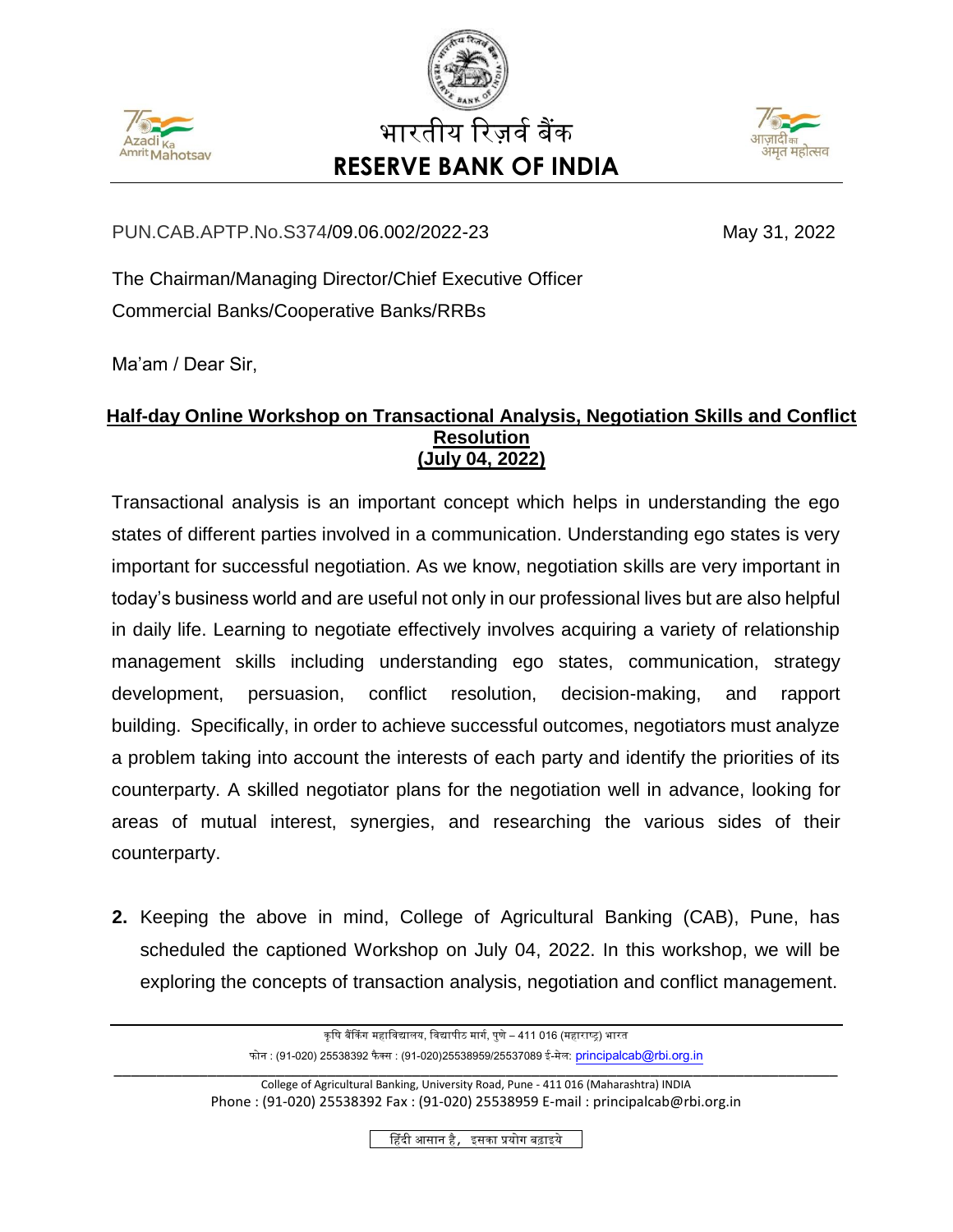





## PUN.CAB.APTP.No.S374/09.06.002/2022-23 May 31, 2022

The Chairman/Managing Director/Chief Executive Officer Commercial Banks/Cooperative Banks/RRBs

Ma'am / Dear Sir,

## **Half-day Online Workshop on Transactional Analysis, Negotiation Skills and Conflict Resolution (July 04, 2022)**

Transactional analysis is an important concept which helps in understanding the ego states of different parties involved in a communication. Understanding ego states is very important for successful negotiation. As we know, negotiation skills are very important in today's business world and are useful not only in our professional lives but are also helpful in daily life. Learning to negotiate effectively involves acquiring a variety of relationship management skills including understanding ego states, communication, strategy development, persuasion, conflict resolution, decision-making, and rapport building. Specifically, in order to achieve successful outcomes, negotiators must analyze a problem taking into account the interests of each party and identify the priorities of its counterparty. A skilled negotiator plans for the negotiation well in advance, looking for areas of mutual interest, synergies, and researching the various sides of their counterparty.

**2.** Keeping the above in mind, College of Agricultural Banking (CAB), Pune, has scheduled the captioned Workshop on July 04, 2022. In this workshop, we will be exploring the concepts of transaction analysis, negotiation and conflict management.

कृषि बैंकिंग महाविद्यालय, विद्यापीठ मार्ग, पुणे – 411 016 (महाराष्ट्र) भारत फोन : (91-020) 25538392 फैक्स : (91-020)25538959/25537089 ई-मेल: [principalcab@rbi.org.in](mailto:principalcab@rbi.org.in) \_\_\_\_\_\_\_\_\_\_\_\_\_\_\_\_\_\_\_\_\_\_\_\_\_\_\_\_\_\_\_\_\_\_\_\_\_\_\_\_\_\_\_\_\_\_\_\_\_\_\_\_\_\_\_\_\_\_\_\_\_\_\_\_\_\_\_\_\_\_\_\_\_\_\_\_\_\_\_\_\_\_\_\_\_ College of Agricultural Banking, University Road, Pune - 411 016 (Maharashtra) INDIA Phone : (91-020) 25538392 Fax : (91-020) 25538959 E-mail : principalcab@rbi.org.in हहिंदी आसान है, इसका प्रयोग बढाइये